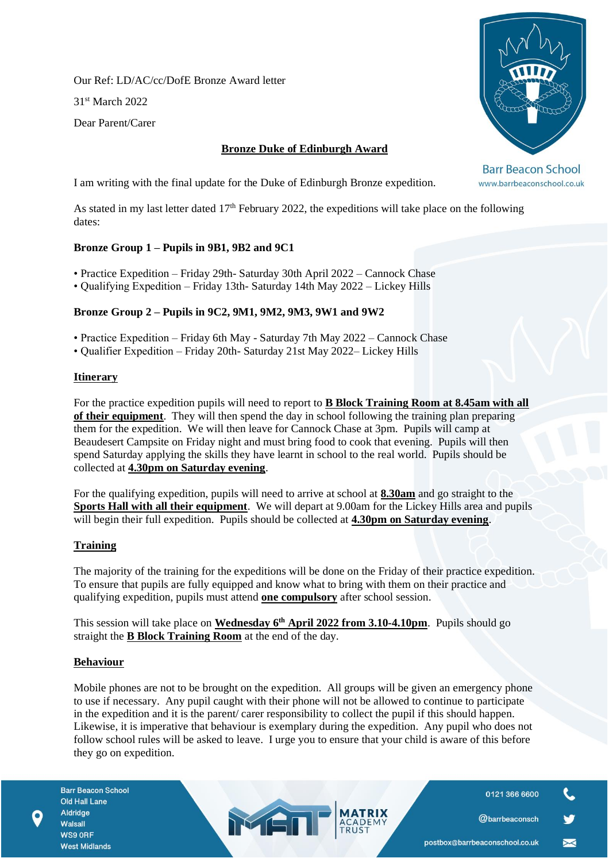Our Ref: LD/AC/cc/DofE Bronze Award letter

31st March 2022

Dear Parent/Carer

# **Bronze Duke of Edinburgh Award**



**Barr Beacon School** www.barrbeaconschool.co.uk

I am writing with the final update for the Duke of Edinburgh Bronze expedition.

As stated in my last letter dated 17<sup>th</sup> February 2022, the expeditions will take place on the following dates:

## **Bronze Group 1 – Pupils in 9B1, 9B2 and 9C1**

• Practice Expedition – Friday 29th- Saturday 30th April 2022 – Cannock Chase

• Qualifying Expedition – Friday 13th- Saturday 14th May 2022 – Lickey Hills

## **Bronze Group 2 – Pupils in 9C2, 9M1, 9M2, 9M3, 9W1 and 9W2**

- Practice Expedition Friday 6th May Saturday 7th May 2022 Cannock Chase
- Qualifier Expedition Friday 20th- Saturday 21st May 2022– Lickey Hills

### **Itinerary**

For the practice expedition pupils will need to report to **B Block Training Room at 8.45am with all of their equipment**. They will then spend the day in school following the training plan preparing them for the expedition. We will then leave for Cannock Chase at 3pm. Pupils will camp at Beaudesert Campsite on Friday night and must bring food to cook that evening. Pupils will then spend Saturday applying the skills they have learnt in school to the real world. Pupils should be collected at **4.30pm on Saturday evening**.

For the qualifying expedition, pupils will need to arrive at school at **8.30am** and go straight to the **Sports Hall with all their equipment**. We will depart at 9.00am for the Lickey Hills area and pupils will begin their full expedition. Pupils should be collected at **4.30pm on Saturday evening**.

## **Training**

The majority of the training for the expeditions will be done on the Friday of their practice expedition. To ensure that pupils are fully equipped and know what to bring with them on their practice and qualifying expedition, pupils must attend **one compulsory** after school session.

This session will take place on **Wednesday 6th April 2022 from 3.10-4.10pm**. Pupils should go straight the **B Block Training Room** at the end of the day.

## **Behaviour**

Mobile phones are not to be brought on the expedition. All groups will be given an emergency phone to use if necessary. Any pupil caught with their phone will not be allowed to continue to participate in the expedition and it is the parent/ carer responsibility to collect the pupil if this should happen. Likewise, it is imperative that behaviour is exemplary during the expedition. Any pupil who does not follow school rules will be asked to leave. I urge you to ensure that your child is aware of this before they go on expedition.

MEN

0121 366 6600

@barrbeaconsch